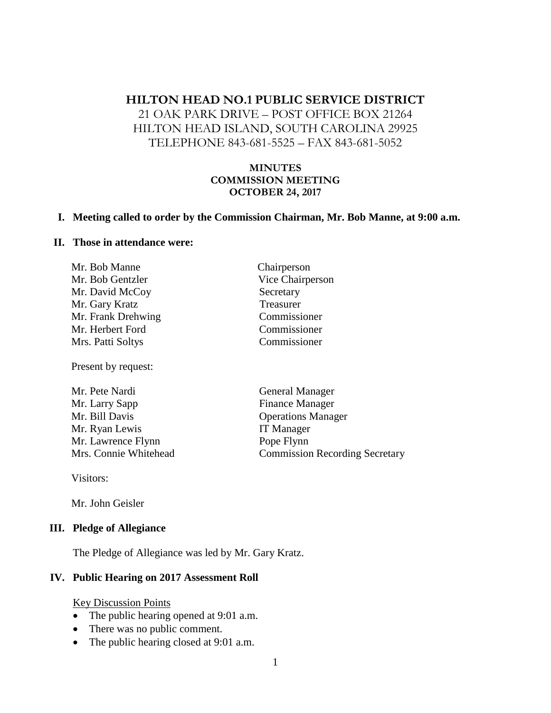# **HILTON HEAD NO.1 PUBLIC SERVICE DISTRICT** 21 OAK PARK DRIVE – POST OFFICE BOX 21264 HILTON HEAD ISLAND, SOUTH CAROLINA 29925 TELEPHONE 843-681-5525 – FAX 843-681-5052

## **MINUTES COMMISSION MEETING OCTOBER 24, 2017**

#### **I. Meeting called to order by the Commission Chairman, Mr. Bob Manne, at 9:00 a.m.**

#### **II. Those in attendance were:**

Mr. Bob Manne Chairperson Mr. Bob Gentzler Vice Chairperson Mr. David McCoy Secretary Mr. Gary Kratz Treasurer Mr. Frank Drehwing Commissioner Mr. Herbert Ford Commissioner Mrs. Patti Soltys Commissioner

Present by request:

| Mr. Pete Nardi        |
|-----------------------|
| Mr. Larry Sapp        |
| Mr. Bill Davis        |
| Mr. Ryan Lewis        |
| Mr. Lawrence Flynn    |
| Mrs. Connie Whitehead |

General Manager Finance Manager **Operations Manager** IT Manager Pope Flynn Commission Recording Secretary

Visitors:

Mr. John Geisler

#### **III. Pledge of Allegiance**

The Pledge of Allegiance was led by Mr. Gary Kratz.

#### **IV. Public Hearing on 2017 Assessment Roll**

#### Key Discussion Points

- The public hearing opened at 9:01 a.m.
- There was no public comment.
- The public hearing closed at 9:01 a.m.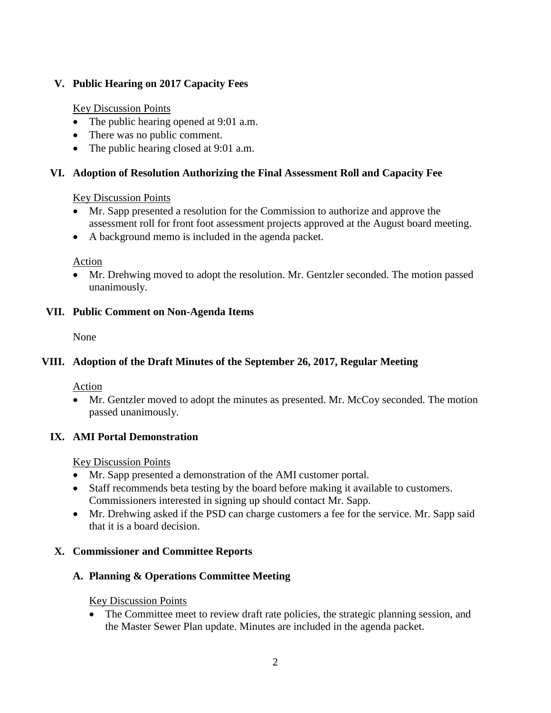## **V. Public Hearing on 2017 Capacity Fees**

## Key Discussion Points

- The public hearing opened at 9:01 a.m.
- There was no public comment.
- The public hearing closed at 9:01 a.m.

## **VI. Adoption of Resolution Authorizing the Final Assessment Roll and Capacity Fee**

## Key Discussion Points

- Mr. Sapp presented a resolution for the Commission to authorize and approve the assessment roll for front foot assessment projects approved at the August board meeting.
- A background memo is included in the agenda packet.

Action

• Mr. Drehwing moved to adopt the resolution. Mr. Gentzler seconded. The motion passed unanimously.

## **VII. Public Comment on Non-Agenda Items**

None

# **VIII. Adoption of the Draft Minutes of the September 26, 2017, Regular Meeting**

Action

• Mr. Gentzler moved to adopt the minutes as presented. Mr. McCoy seconded. The motion passed unanimously.

## **IX. AMI Portal Demonstration**

Key Discussion Points

- Mr. Sapp presented a demonstration of the AMI customer portal.
- Staff recommends beta testing by the board before making it available to customers. Commissioners interested in signing up should contact Mr. Sapp.
- Mr. Drehwing asked if the PSD can charge customers a fee for the service. Mr. Sapp said that it is a board decision.

## **X. Commissioner and Committee Reports**

# **A. Planning & Operations Committee Meeting**

Key Discussion Points

• The Committee meet to review draft rate policies, the strategic planning session, and the Master Sewer Plan update. Minutes are included in the agenda packet.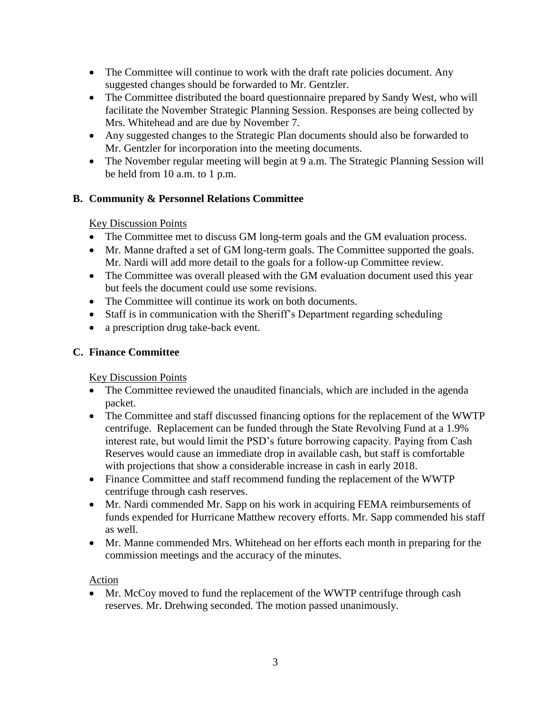- The Committee will continue to work with the draft rate policies document. Any suggested changes should be forwarded to Mr. Gentzler.
- The Committee distributed the board questionnaire prepared by Sandy West, who will facilitate the November Strategic Planning Session. Responses are being collected by Mrs. Whitehead and are due by November 7.
- Any suggested changes to the Strategic Plan documents should also be forwarded to Mr. Gentzler for incorporation into the meeting documents.
- The November regular meeting will begin at 9 a.m. The Strategic Planning Session will be held from 10 a.m. to 1 p.m.

## **B. Community & Personnel Relations Committee**

## Key Discussion Points

- The Committee met to discuss GM long-term goals and the GM evaluation process.
- Mr. Manne drafted a set of GM long-term goals. The Committee supported the goals. Mr. Nardi will add more detail to the goals for a follow-up Committee review.
- The Committee was overall pleased with the GM evaluation document used this year but feels the document could use some revisions.
- The Committee will continue its work on both documents.
- Staff is in communication with the Sheriff's Department regarding scheduling
- a prescription drug take-back event.

# **C. Finance Committee**

Key Discussion Points

- The Committee reviewed the unaudited financials, which are included in the agenda packet.
- The Committee and staff discussed financing options for the replacement of the WWTP centrifuge. Replacement can be funded through the State Revolving Fund at a 1.9% interest rate, but would limit the PSD's future borrowing capacity. Paying from Cash Reserves would cause an immediate drop in available cash, but staff is comfortable with projections that show a considerable increase in cash in early 2018.
- Finance Committee and staff recommend funding the replacement of the WWTP centrifuge through cash reserves.
- Mr. Nardi commended Mr. Sapp on his work in acquiring FEMA reimbursements of funds expended for Hurricane Matthew recovery efforts. Mr. Sapp commended his staff as well.
- Mr. Manne commended Mrs. Whitehead on her efforts each month in preparing for the commission meetings and the accuracy of the minutes.

## Action

• Mr. McCoy moved to fund the replacement of the WWTP centrifuge through cash reserves. Mr. Drehwing seconded. The motion passed unanimously.